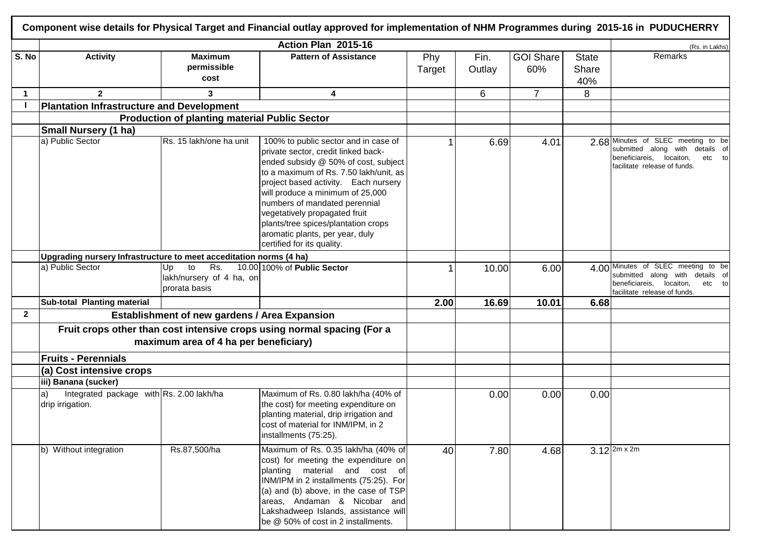|              |                                                                                            |                                                              | Action Plan 2015-16                                                                                                                                                                                                                                                                                                                                                                                                 |               |                |                         |                              | (Rs. in Lakhs)                                                                                                                              |
|--------------|--------------------------------------------------------------------------------------------|--------------------------------------------------------------|---------------------------------------------------------------------------------------------------------------------------------------------------------------------------------------------------------------------------------------------------------------------------------------------------------------------------------------------------------------------------------------------------------------------|---------------|----------------|-------------------------|------------------------------|---------------------------------------------------------------------------------------------------------------------------------------------|
| S. No        | <b>Activity</b>                                                                            | <b>Maximum</b><br>permissible<br>cost                        | <b>Pattern of Assistance</b>                                                                                                                                                                                                                                                                                                                                                                                        | Phy<br>Target | Fin.<br>Outlay | <b>GOI Share</b><br>60% | <b>State</b><br>Share<br>40% | Remarks                                                                                                                                     |
| $\mathbf 1$  | $\mathbf{2}$                                                                               | 3                                                            | 4                                                                                                                                                                                                                                                                                                                                                                                                                   |               | 6              | $\overline{7}$          | 8                            |                                                                                                                                             |
|              | <b>Plantation Infrastructure and Development</b>                                           |                                                              |                                                                                                                                                                                                                                                                                                                                                                                                                     |               |                |                         |                              |                                                                                                                                             |
|              |                                                                                            | <b>Production of planting material Public Sector</b>         |                                                                                                                                                                                                                                                                                                                                                                                                                     |               |                |                         |                              |                                                                                                                                             |
|              | <b>Small Nursery (1 ha)</b>                                                                |                                                              |                                                                                                                                                                                                                                                                                                                                                                                                                     |               |                |                         |                              |                                                                                                                                             |
|              | a) Public Sector                                                                           | Rs. 15 lakh/one ha unit                                      | 100% to public sector and in case of<br>private sector, credit linked back-<br>ended subsidy @ 50% of cost, subject<br>to a maximum of Rs. 7.50 lakh/unit, as<br>project based activity. Each nursery<br>will produce a minimum of 25,000<br>numbers of mandated perennial<br>vegetatively propagated fruit<br>plants/tree spices/plantation crops<br>aromatic plants, per year, duly<br>certified for its quality. |               | 6.69           | 4.01                    |                              | 2.68 Minutes of SLEC meeting to be<br>submitted along with details of<br>beneficiareis, locaiton,<br>etc to<br>facilitate release of funds. |
|              | Upgrading nursery Infrastructure to meet acceditation norms (4 ha)                         |                                                              |                                                                                                                                                                                                                                                                                                                                                                                                                     |               |                |                         |                              |                                                                                                                                             |
|              | a) Public Sector                                                                           | Rs.<br>to<br>Up<br>lakh/nursery of 4 ha, on<br>prorata basis | 10.00 100% of Public Sector                                                                                                                                                                                                                                                                                                                                                                                         | $\mathbf 1$   | 10.00          | 6.00                    |                              | 4.00 Minutes of SLEC meeting to be<br>submitted along with details of<br>beneficiareis, locaiton,<br>etc to<br>facilitate release of funds. |
|              | Sub-total Planting material                                                                |                                                              |                                                                                                                                                                                                                                                                                                                                                                                                                     | 2.00          | 16.69          | 10.01                   | 6.68                         |                                                                                                                                             |
| $\mathbf{2}$ |                                                                                            | <b>Establishment of new gardens / Area Expansion</b>         |                                                                                                                                                                                                                                                                                                                                                                                                                     |               |                |                         |                              |                                                                                                                                             |
|              | <b>Fruits - Perennials</b>                                                                 | maximum area of 4 ha per beneficiary)                        | Fruit crops other than cost intensive crops using normal spacing (For a                                                                                                                                                                                                                                                                                                                                             |               |                |                         |                              |                                                                                                                                             |
|              |                                                                                            |                                                              |                                                                                                                                                                                                                                                                                                                                                                                                                     |               |                |                         |                              |                                                                                                                                             |
|              | (a) Cost intensive crops                                                                   |                                                              |                                                                                                                                                                                                                                                                                                                                                                                                                     |               |                |                         |                              |                                                                                                                                             |
|              | iii) Banana (sucker)<br>Integrated package with Rs. 2.00 lakh/ha<br>a)<br>drip irrigation. |                                                              | Maximum of Rs. 0.80 lakh/ha (40% of<br>the cost) for meeting expenditure on<br>planting material, drip irrigation and<br>cost of material for INM/IPM, in 2<br>installments (75:25).                                                                                                                                                                                                                                |               | 0.00           | 0.00                    | 0.00                         |                                                                                                                                             |
|              | b) Without integration                                                                     | Rs.87,500/ha                                                 | Maximum of Rs. 0.35 lakh/ha (40% of<br>cost) for meeting the expenditure on<br>planting material and cost of<br>INM/IPM in 2 installments (75:25). For<br>(a) and (b) above, in the case of TSP<br>areas, Andaman & Nicobar and<br>Lakshadweep Islands, assistance will<br>be @ 50% of cost in 2 installments.                                                                                                      | 40            | 7.80           | 4.68                    |                              | $3.12^{2m \times 2m}$                                                                                                                       |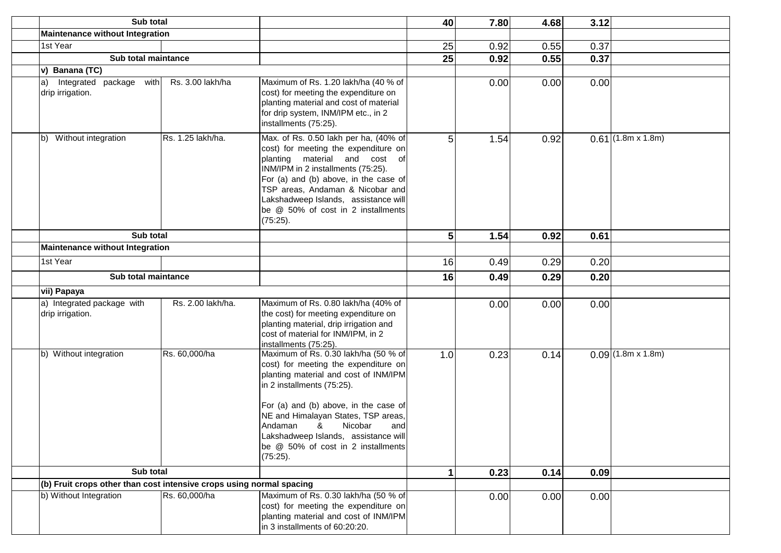| Sub total                                                            |                   |                                                                                                                                                                                                                                                                                                                                                                    | 40             | 7.80 | 4.68 | 3.12 |                          |
|----------------------------------------------------------------------|-------------------|--------------------------------------------------------------------------------------------------------------------------------------------------------------------------------------------------------------------------------------------------------------------------------------------------------------------------------------------------------------------|----------------|------|------|------|--------------------------|
| <b>Maintenance without Integration</b>                               |                   |                                                                                                                                                                                                                                                                                                                                                                    |                |      |      |      |                          |
| 1st Year                                                             |                   |                                                                                                                                                                                                                                                                                                                                                                    | 25             | 0.92 | 0.55 | 0.37 |                          |
| Sub total maintance                                                  |                   |                                                                                                                                                                                                                                                                                                                                                                    | 25             | 0.92 | 0.55 | 0.37 |                          |
| v) Banana (TC)                                                       |                   |                                                                                                                                                                                                                                                                                                                                                                    |                |      |      |      |                          |
| Integrated package with<br>a)<br>drip irrigation.                    | Rs. 3.00 lakh/ha  | Maximum of Rs. 1.20 lakh/ha (40 % of<br>cost) for meeting the expenditure on<br>planting material and cost of material<br>for drip system, INM/IPM etc., in 2<br>installments (75:25).                                                                                                                                                                             |                | 0.00 | 0.00 | 0.00 |                          |
| Without integration<br>lb)                                           | Rs. 1.25 lakh/ha. | Max. of Rs. 0.50 lakh per ha, (40% of<br>cost) for meeting the expenditure on<br>planting material and cost of<br>INM/IPM in 2 installments (75:25).<br>For (a) and (b) above, in the case of<br>TSP areas, Andaman & Nicobar and<br>Lakshadweep Islands, assistance will<br>be @ 50% of cost in 2 installments<br>(75:25).                                        | 5              | 1.54 | 0.92 |      | $0.61$ (1.8m x 1.8m)     |
| Sub total                                                            |                   |                                                                                                                                                                                                                                                                                                                                                                    | $5\phantom{1}$ | 1.54 | 0.92 | 0.61 |                          |
| <b>Maintenance without Integration</b>                               |                   |                                                                                                                                                                                                                                                                                                                                                                    |                |      |      |      |                          |
| 1st Year                                                             |                   |                                                                                                                                                                                                                                                                                                                                                                    | 16             | 0.49 | 0.29 | 0.20 |                          |
| Sub total maintance                                                  |                   |                                                                                                                                                                                                                                                                                                                                                                    | 16             | 0.49 | 0.29 | 0.20 |                          |
| vii) Papaya                                                          |                   |                                                                                                                                                                                                                                                                                                                                                                    |                |      |      |      |                          |
| a) Integrated package with<br>drip irrigation.                       | Rs. 2.00 lakh/ha. | Maximum of Rs. 0.80 lakh/ha (40% of<br>the cost) for meeting expenditure on<br>planting material, drip irrigation and<br>cost of material for INM/IPM, in 2<br>installments (75:25).                                                                                                                                                                               |                | 0.00 | 0.00 | 0.00 |                          |
| b) Without integration                                               | Rs. 60,000/ha     | Maximum of Rs. 0.30 lakh/ha (50 % of<br>cost) for meeting the expenditure on<br>planting material and cost of INM/IPM<br>in 2 installments (75:25).<br>For (a) and (b) above, in the case of<br>NE and Himalayan States, TSP areas,<br>Andaman<br>&<br>Nicobar<br>and<br>Lakshadweep Islands, assistance will<br>be @ 50% of cost in 2 installments<br>$(75:25)$ . | 1.0            | 0.23 | 0.14 |      | $0.09(1.8m \times 1.8m)$ |
| Sub total                                                            |                   |                                                                                                                                                                                                                                                                                                                                                                    |                | 0.23 | 0.14 | 0.09 |                          |
| (b) Fruit crops other than cost intensive crops using normal spacing |                   |                                                                                                                                                                                                                                                                                                                                                                    |                |      |      |      |                          |
| b) Without Integration                                               | Rs. 60,000/ha     | Maximum of Rs. 0.30 lakh/ha (50 % of<br>cost) for meeting the expenditure on<br>planting material and cost of INM/IPM<br>in 3 installments of 60:20:20.                                                                                                                                                                                                            |                | 0.00 | 0.00 | 0.00 |                          |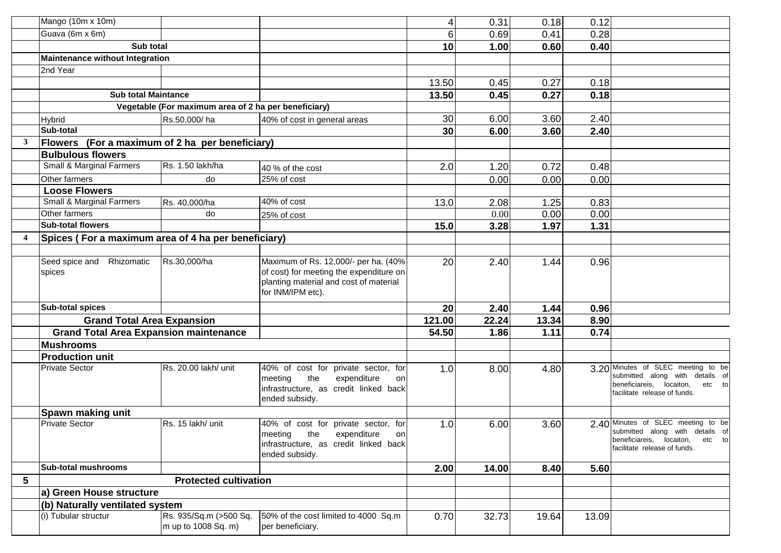|                         | Mango (10m x 10m)                                   |                                                      |                                                                                                                                                | 4               | 0.31  | 0.18  | 0.12  |                                                                                                                                             |
|-------------------------|-----------------------------------------------------|------------------------------------------------------|------------------------------------------------------------------------------------------------------------------------------------------------|-----------------|-------|-------|-------|---------------------------------------------------------------------------------------------------------------------------------------------|
|                         | Guava (6m x 6m)                                     |                                                      |                                                                                                                                                | 6               | 0.69  | 0.41  | 0.28  |                                                                                                                                             |
|                         | Sub total                                           |                                                      |                                                                                                                                                | 10              | 1.00  | 0.60  | 0.40  |                                                                                                                                             |
|                         | <b>Maintenance without Integration</b>              |                                                      |                                                                                                                                                |                 |       |       |       |                                                                                                                                             |
|                         | 2nd Year                                            |                                                      |                                                                                                                                                |                 |       |       |       |                                                                                                                                             |
|                         |                                                     |                                                      |                                                                                                                                                | 13.50           | 0.45  | 0.27  | 0.18  |                                                                                                                                             |
|                         | <b>Sub total Maintance</b>                          |                                                      |                                                                                                                                                | 13.50           | 0.45  | 0.27  | 0.18  |                                                                                                                                             |
|                         |                                                     | Vegetable (For maximum area of 2 ha per beneficiary) |                                                                                                                                                |                 |       |       |       |                                                                                                                                             |
|                         | <b>Hybrid</b>                                       | Rs.50,000/ha                                         | 40% of cost in general areas                                                                                                                   | 30              | 6.00  | 3.60  | 2.40  |                                                                                                                                             |
|                         | Sub-total                                           |                                                      |                                                                                                                                                | 30 <sub>l</sub> | 6.00  | 3.60  | 2.40  |                                                                                                                                             |
| $\mathbf{3}$            | Flowers                                             | (For a maximum of 2 ha per beneficiary)              |                                                                                                                                                |                 |       |       |       |                                                                                                                                             |
|                         | <b>Bulbulous flowers</b>                            |                                                      |                                                                                                                                                |                 |       |       |       |                                                                                                                                             |
|                         | Small & Marginal Farmers                            | Rs. 1.50 lakh/ha                                     | 40 % of the cost                                                                                                                               | 2.0             | 1.20  | 0.72  | 0.48  |                                                                                                                                             |
|                         | Other farmers                                       | do                                                   | 25% of cost                                                                                                                                    |                 | 0.00  | 0.00  | 0.00  |                                                                                                                                             |
|                         | <b>Loose Flowers</b>                                |                                                      |                                                                                                                                                |                 |       |       |       |                                                                                                                                             |
|                         | <b>Small &amp; Marginal Farmers</b>                 | Rs. 40,000/ha                                        | 40% of cost                                                                                                                                    | 13.0            | 2.08  | 1.25  | 0.83  |                                                                                                                                             |
|                         | Other farmers                                       | do                                                   | 25% of cost                                                                                                                                    |                 | 0.00  | 0.00  | 0.00  |                                                                                                                                             |
|                         | <b>Sub-total flowers</b>                            |                                                      |                                                                                                                                                | 15.0            | 3.28  | 1.97  | 1.31  |                                                                                                                                             |
| $\overline{\mathbf{4}}$ | Spices (For a maximum area of 4 ha per beneficiary) |                                                      |                                                                                                                                                |                 |       |       |       |                                                                                                                                             |
|                         |                                                     |                                                      |                                                                                                                                                |                 |       |       |       |                                                                                                                                             |
|                         | Seed spice and Rhizomatic<br>spices                 | Rs.30,000/ha                                         | Maximum of Rs. 12,000/- per ha. (40%<br>of cost) for meeting the expenditure on<br>planting material and cost of material<br>for INM/IPM etc). | 20              | 2.40  | 1.44  | 0.96  |                                                                                                                                             |
|                         | <b>Sub-total spices</b>                             |                                                      |                                                                                                                                                | 20 <sub>l</sub> | 2.40  | 1.44  | 0.96  |                                                                                                                                             |
|                         | <b>Grand Total Area Expansion</b>                   |                                                      |                                                                                                                                                | 121.00          | 22.24 | 13.34 | 8.90  |                                                                                                                                             |
|                         | <b>Grand Total Area Expansion maintenance</b>       |                                                      |                                                                                                                                                | 54.50           | 1.86  | 1.11  | 0.74  |                                                                                                                                             |
|                         | <b>Mushrooms</b>                                    |                                                      |                                                                                                                                                |                 |       |       |       |                                                                                                                                             |
|                         | <b>Production unit</b>                              |                                                      |                                                                                                                                                |                 |       |       |       |                                                                                                                                             |
|                         | <b>Private Sector</b>                               | Rs. 20.00 lakh/ unit                                 | 40% of cost for private sector, for<br>the<br>expenditure<br>meeting<br>on<br>infrastructure, as credit linked back<br>ended subsidy.          | 1.0             | 8.00  | 4.80  |       | 3.20 Minutes of SLEC meeting to be<br>submitted along with details of<br>beneficiareis, locaiton,<br>etc to<br>facilitate release of funds. |
|                         | Spawn making unit                                   |                                                      |                                                                                                                                                |                 |       |       |       |                                                                                                                                             |
|                         | <b>Private Sector</b>                               | Rs. 15 lakh/ unit                                    | 40% of cost for private sector, for<br>meeting<br>the<br>expenditure<br>on<br>infrastructure, as credit linked back<br>ended subsidy.          | 1.0             | 6.00  | 3.60  |       | 2.40 Minutes of SLEC meeting to be<br>submitted along with details of<br>beneficiareis, locaiton, etc to<br>facilitate release of funds.    |
|                         | <b>Sub-total mushrooms</b>                          |                                                      |                                                                                                                                                | 2.00            | 14.00 | 8.40  | 5.60  |                                                                                                                                             |
| 5                       |                                                     | <b>Protected cultivation</b>                         |                                                                                                                                                |                 |       |       |       |                                                                                                                                             |
|                         | a) Green House structure                            |                                                      |                                                                                                                                                |                 |       |       |       |                                                                                                                                             |
|                         | (b) Naturally ventilated system                     |                                                      |                                                                                                                                                |                 |       |       |       |                                                                                                                                             |
|                         | (i) Tubular structur                                | Rs. 935/Sq.m (>500 Sq.<br>m up to 1008 Sq. m)        | 50% of the cost limited to 4000 Sq.m<br>per beneficiary.                                                                                       | 0.70            | 32.73 | 19.64 | 13.09 |                                                                                                                                             |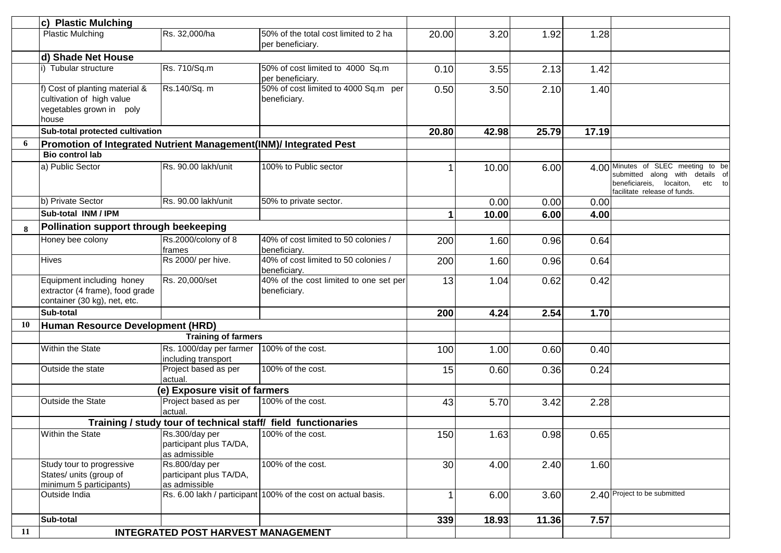|    | c) Plastic Mulching                                                                              |                                                            |                                                               |       |       |       |       |                                                                                                                                             |
|----|--------------------------------------------------------------------------------------------------|------------------------------------------------------------|---------------------------------------------------------------|-------|-------|-------|-------|---------------------------------------------------------------------------------------------------------------------------------------------|
|    | <b>Plastic Mulching</b>                                                                          | Rs. 32,000/ha                                              | 50% of the total cost limited to 2 ha<br>per beneficiary.     | 20.00 | 3.20  | 1.92  | 1.28  |                                                                                                                                             |
|    | d) Shade Net House                                                                               |                                                            |                                                               |       |       |       |       |                                                                                                                                             |
|    | i) Tubular structure                                                                             | Rs. 710/Sq.m                                               | 50% of cost limited to 4000 Sq.m<br>per beneficiary.          | 0.10  | 3.55  | 2.13  | 1.42  |                                                                                                                                             |
|    | f) Cost of planting material &<br>cultivation of high value<br>vegetables grown in poly<br>house | Rs.140/Sq. m                                               | 50% of cost limited to 4000 Sq.m per<br>beneficiary.          | 0.50  | 3.50  | 2.10  | 1.40  |                                                                                                                                             |
|    | Sub-total protected cultivation                                                                  |                                                            |                                                               | 20.80 | 42.98 | 25.79 | 17.19 |                                                                                                                                             |
| 6  | Promotion of Integrated Nutrient Management(INM)/ Integrated Pest                                |                                                            |                                                               |       |       |       |       |                                                                                                                                             |
|    | <b>Bio control lab</b>                                                                           |                                                            |                                                               |       |       |       |       |                                                                                                                                             |
|    | a) Public Sector                                                                                 | Rs. 90.00 lakh/unit                                        | 100% to Public sector                                         |       | 10.00 | 6.00  |       | 4.00 Minutes of SLEC meeting to be<br>submitted along with details of<br>beneficiareis, locaiton,<br>etc to<br>facilitate release of funds. |
|    | b) Private Sector                                                                                | Rs. 90.00 lakh/unit                                        | 50% to private sector.                                        |       | 0.00  | 0.00  | 0.00  |                                                                                                                                             |
|    | Sub-total INM / IPM                                                                              |                                                            |                                                               |       | 10.00 | 6.00  | 4.00  |                                                                                                                                             |
| 8  | Pollination support through beekeeping                                                           |                                                            |                                                               |       |       |       |       |                                                                                                                                             |
|    | Honey bee colony                                                                                 | Rs.2000/colony of 8<br>frames                              | 40% of cost limited to 50 colonies /<br>beneficiary.          | 200   | 1.60  | 0.96  | 0.64  |                                                                                                                                             |
|    | <b>Hives</b>                                                                                     | Rs 2000/ per hive.                                         | 40% of cost limited to 50 colonies /<br>beneficiary.          | 200   | 1.60  | 0.96  | 0.64  |                                                                                                                                             |
|    | Equipment including honey<br>extractor (4 frame), food grade<br>container (30 kg), net, etc.     | Rs. 20,000/set                                             | 40% of the cost limited to one set per<br>beneficiary.        | 13    | 1.04  | 0.62  | 0.42  |                                                                                                                                             |
|    | Sub-total                                                                                        |                                                            |                                                               | 200   | 4.24  | 2.54  | 1.70  |                                                                                                                                             |
| 10 | Human Resource Development (HRD)                                                                 |                                                            |                                                               |       |       |       |       |                                                                                                                                             |
|    |                                                                                                  | <b>Training of farmers</b>                                 |                                                               |       |       |       |       |                                                                                                                                             |
|    | Within the State                                                                                 | Rs. 1000/day per farmer<br>including transport             | 100% of the cost.                                             | 100   | 1.00  | 0.60  | 0.40  |                                                                                                                                             |
|    | Outside the state                                                                                | Project based as per<br>actual.                            | 100% of the cost.                                             | 15    | 0.60  | 0.36  | 0.24  |                                                                                                                                             |
|    |                                                                                                  | (e) Exposure visit of farmers                              |                                                               |       |       |       |       |                                                                                                                                             |
|    | Outside the State                                                                                | Project based as per<br>actual                             | 100% of the cost.                                             | 43    | 5.70  | 3.42  | 2.28  |                                                                                                                                             |
|    |                                                                                                  |                                                            | Training / study tour of technical staff/ field functionaries |       |       |       |       |                                                                                                                                             |
|    | Within the State                                                                                 | Rs.300/day per<br>participant plus TA/DA,<br>as admissible | 100% of the cost.                                             | 150   | 1.63  | 0.98  | 0.65  |                                                                                                                                             |
|    | Study tour to progressive<br>States/ units (group of<br>minimum 5 participants)                  | Rs.800/day per<br>participant plus TA/DA,<br>as admissible | 100% of the cost.                                             | 30    | 4.00  | 2.40  | 1.60  |                                                                                                                                             |
|    | Outside India                                                                                    |                                                            | Rs. 6.00 lakh / participant 100% of the cost on actual basis. |       | 6.00  | 3.60  |       | 2.40 Project to be submitted                                                                                                                |
|    | Sub-total                                                                                        |                                                            |                                                               | 339   | 18.93 | 11.36 | 7.57  |                                                                                                                                             |
| 11 |                                                                                                  | <b>INTEGRATED POST HARVEST MANAGEMENT</b>                  |                                                               |       |       |       |       |                                                                                                                                             |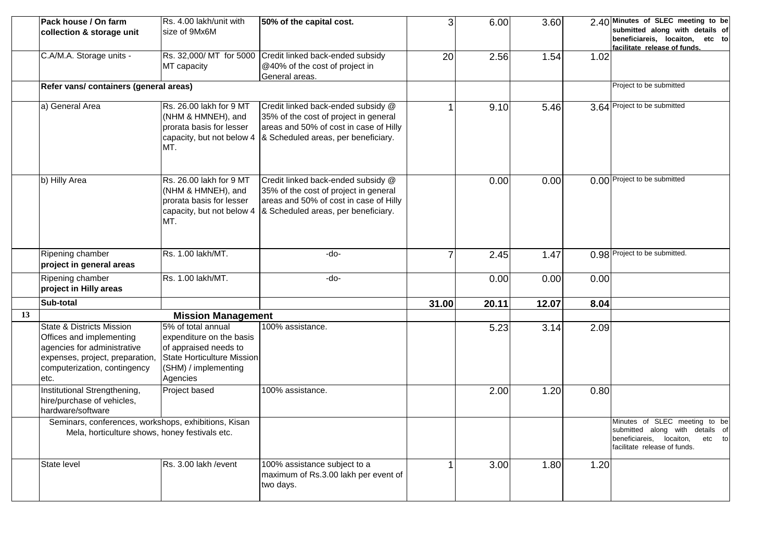|    | Pack house / On farm                                            | Rs. 4.00 lakh/unit with                            | 50% of the capital cost.                                 | 3              | 6.00  | 3.60  |      | 2.40 Minutes of SLEC meeting to be                                 |
|----|-----------------------------------------------------------------|----------------------------------------------------|----------------------------------------------------------|----------------|-------|-------|------|--------------------------------------------------------------------|
|    | collection & storage unit                                       | size of 9Mx6M                                      |                                                          |                |       |       |      | submitted along with details of<br>beneficiareis, locaiton, etc to |
|    |                                                                 |                                                    |                                                          |                |       |       |      | facilitate release of funds.                                       |
|    | C.A/M.A. Storage units -                                        |                                                    | Rs. 32,000/ MT for 5000 Credit linked back-ended subsidy | 20             | 2.56  | 1.54  | 1.02 |                                                                    |
|    |                                                                 | MT capacity                                        | @40% of the cost of project in                           |                |       |       |      |                                                                    |
|    |                                                                 |                                                    | General areas.                                           |                |       |       |      |                                                                    |
|    | Refer vans/ containers (general areas)                          |                                                    |                                                          |                |       |       |      | Project to be submitted                                            |
|    | a) General Area                                                 | Rs. 26.00 lakh for 9 MT                            | Credit linked back-ended subsidy @                       |                | 9.10  | 5.46  |      | 3.64 Project to be submitted                                       |
|    |                                                                 | (NHM & HMNEH), and                                 | 35% of the cost of project in general                    |                |       |       |      |                                                                    |
|    |                                                                 | prorata basis for lesser                           | areas and 50% of cost in case of Hilly                   |                |       |       |      |                                                                    |
|    |                                                                 | capacity, but not below 4                          | & Scheduled areas, per beneficiary.                      |                |       |       |      |                                                                    |
|    |                                                                 | MT.                                                |                                                          |                |       |       |      |                                                                    |
|    |                                                                 |                                                    |                                                          |                |       |       |      |                                                                    |
|    | b) Hilly Area                                                   | Rs. 26.00 lakh for 9 MT                            | Credit linked back-ended subsidy @                       |                | 0.00  | 0.00  |      | 0.00 Project to be submitted                                       |
|    |                                                                 | (NHM & HMNEH), and                                 | 35% of the cost of project in general                    |                |       |       |      |                                                                    |
|    |                                                                 | prorata basis for lesser                           | areas and 50% of cost in case of Hilly                   |                |       |       |      |                                                                    |
|    |                                                                 | capacity, but not below 4<br>MT.                   | & Scheduled areas, per beneficiary.                      |                |       |       |      |                                                                    |
|    |                                                                 |                                                    |                                                          |                |       |       |      |                                                                    |
|    |                                                                 |                                                    |                                                          |                |       |       |      |                                                                    |
|    | Ripening chamber                                                | Rs. 1.00 lakh/MT.                                  | -do-                                                     | $\overline{7}$ | 2.45  | 1.47  |      | 0.98 Project to be submitted.                                      |
|    | project in general areas                                        |                                                    |                                                          |                |       |       |      |                                                                    |
|    | Ripening chamber                                                | Rs. 1.00 lakh/MT.                                  | -do-                                                     |                | 0.00  | 0.00  | 0.00 |                                                                    |
|    | project in Hilly areas                                          |                                                    |                                                          |                |       |       |      |                                                                    |
|    | Sub-total                                                       |                                                    |                                                          | 31.00          | 20.11 | 12.07 | 8.04 |                                                                    |
| 13 |                                                                 | <b>Mission Management</b>                          |                                                          |                |       |       |      |                                                                    |
|    | <b>State &amp; Districts Mission</b>                            | 5% of total annual                                 | 100% assistance.                                         |                | 5.23  | 3.14  | 2.09 |                                                                    |
|    | Offices and implementing                                        | expenditure on the basis                           |                                                          |                |       |       |      |                                                                    |
|    | agencies for administrative                                     | of appraised needs to                              |                                                          |                |       |       |      |                                                                    |
|    | expenses, project, preparation,<br>computerization, contingency | State Horticulture Mission<br>(SHM) / implementing |                                                          |                |       |       |      |                                                                    |
|    | etc.                                                            | Agencies                                           |                                                          |                |       |       |      |                                                                    |
|    | Institutional Strengthening,                                    | Project based                                      | 100% assistance.                                         |                | 2.00  | 1.20  | 0.80 |                                                                    |
|    | hire/purchase of vehicles,                                      |                                                    |                                                          |                |       |       |      |                                                                    |
|    | hardware/software                                               |                                                    |                                                          |                |       |       |      |                                                                    |
|    | Seminars, conferences, workshops, exhibitions, Kisan            |                                                    |                                                          |                |       |       |      | Minutes of SLEC meeting to be                                      |
|    | Mela, horticulture shows, honey festivals etc.                  |                                                    |                                                          |                |       |       |      | submitted along with details of                                    |
|    |                                                                 |                                                    |                                                          |                |       |       |      | beneficiareis, locaiton,<br>etc to                                 |
|    |                                                                 |                                                    |                                                          |                |       |       |      | facilitate release of funds.                                       |
|    | State level                                                     | Rs. 3.00 lakh / event                              | 100% assistance subject to a                             | 1              | 3.00  | 1.80  | 1.20 |                                                                    |
|    |                                                                 |                                                    | maximum of Rs.3.00 lakh per event of                     |                |       |       |      |                                                                    |
|    |                                                                 |                                                    | two days.                                                |                |       |       |      |                                                                    |
|    |                                                                 |                                                    |                                                          |                |       |       |      |                                                                    |